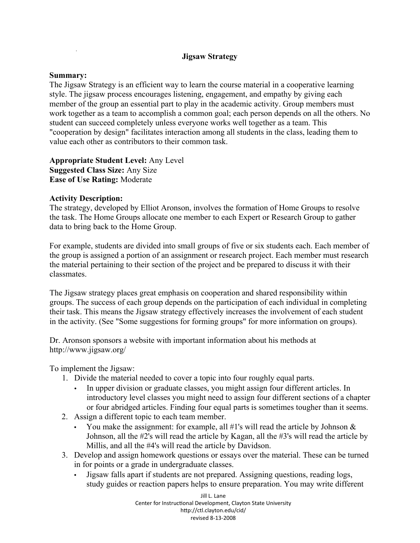## **Jigsaw Strategy**

## **Summary:**

The Jigsaw Strategy is an efficient way to learn the course material in a cooperative learning style. The jigsaw process encourages listening, engagement, and empathy by giving each member of the group an essential part to play in the academic activity. Group members must work together as a team to accomplish a common goal; each person depends on all the others. No student can succeed completely unless everyone works well together as a team. This "cooperation by design" facilitates interaction among all students in the class, leading them to value each other as contributors to their common task.

**Appropriate Student Level:** Any Level **Suggested Class Size:** Any Size **Ease of Use Rating:** Moderate

## **Activity Description:**

The strategy, developed by Elliot Aronson, involves the formation of Home Groups to resolve the task. The Home Groups allocate one member to each Expert or Research Group to gather data to bring back to the Home Group.

For example, students are divided into small groups of five or six students each. Each member of the group is assigned a portion of an assignment or research project. Each member must research the material pertaining to their section of the project and be prepared to discuss it with their classmates.

The Jigsaw strategy places great emphasis on cooperation and shared responsibility within groups. The success of each group depends on the participation of each individual in completing their task. This means the Jigsaw strategy effectively increases the involvement of each student in the activity. (See "Some suggestions for forming groups" for more information on groups).

Dr. Aronson sponsors a website with important information about his methods at http://www.jigsaw.org/

To implement the Jigsaw:

- 1. Divide the material needed to cover a topic into four roughly equal parts.
	- In upper division or graduate classes, you might assign four different articles. In introductory level classes you might need to assign four different sections of a chapter or four abridged articles. Finding four equal parts is sometimes tougher than it seems.
- 2. Assign a different topic to each team member.
	- You make the assignment: for example, all  $#1$ 's will read the article by Johnson  $\&$ Johnson, all the #2's will read the article by Kagan, all the #3's will read the article by Millis, and all the #4's will read the article by Davidson.
- 3. Develop and assign homework questions or essays over the material. These can be turned in for points or a grade in undergraduate classes.
	- Jigsaw falls apart if students are not prepared. Assigning questions, reading logs, study guides or reaction papers helps to ensure preparation. You may write different

Jill L. Lane Center for Instructional Development, Clayton State University http://ctl.clayton.edu/cid/ revised 8-13-2008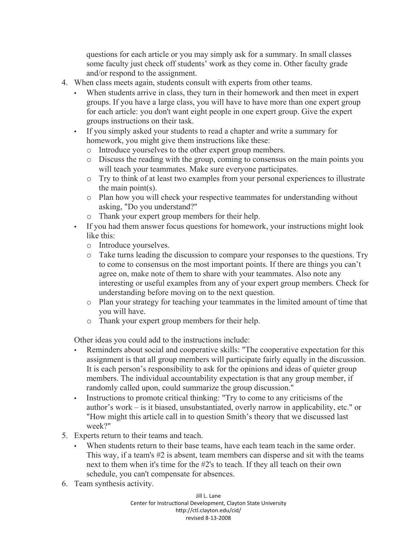questions for each article or you may simply ask for a summary. In small classes some faculty just check off students' work as they come in. Other faculty grade and/or respond to the assignment.

- 4. When class meets again, students consult with experts from other teams.
	- When students arrive in class, they turn in their homework and then meet in expert groups. If you have a large class, you will have to have more than one expert group for each article: you don't want eight people in one expert group. Give the expert groups instructions on their task.
	- If you simply asked your students to read a chapter and write a summary for homework, you might give them instructions like these:
		- o Introduce yourselves to the other expert group members.
		- o Discuss the reading with the group, coming to consensus on the main points you will teach your teammates. Make sure everyone participates.
		- o Try to think of at least two examples from your personal experiences to illustrate the main point(s).
		- o Plan how you will check your respective teammates for understanding without asking, "Do you understand?"
		- o Thank your expert group members for their help.
	- If you had them answer focus questions for homework, your instructions might look like this:
		- o Introduce yourselves.
		- o Take turns leading the discussion to compare your responses to the questions. Try to come to consensus on the most important points. If there are things you can't agree on, make note of them to share with your teammates. Also note any interesting or useful examples from any of your expert group members. Check for understanding before moving on to the next question.
		- o Plan your strategy for teaching your teammates in the limited amount of time that you will have.
		- o Thank your expert group members for their help.

Other ideas you could add to the instructions include:

- Reminders about social and cooperative skills: "The cooperative expectation for this assignment is that all group members will participate fairly equally in the discussion. It is each person's responsibility to ask for the opinions and ideas of quieter group members. The individual accountability expectation is that any group member, if randomly called upon, could summarize the group discussion."
- Instructions to promote critical thinking: "Try to come to any criticisms of the author's work – is it biased, unsubstantiated, overly narrow in applicability, etc." or "How might this article call in to question Smith's theory that we discussed last week?"
- 5. Experts return to their teams and teach.
	- When students return to their base teams, have each team teach in the same order. This way, if a team's #2 is absent, team members can disperse and sit with the teams next to them when it's time for the #2's to teach. If they all teach on their own schedule, you can't compensate for absences.
- 6. Team synthesis activity.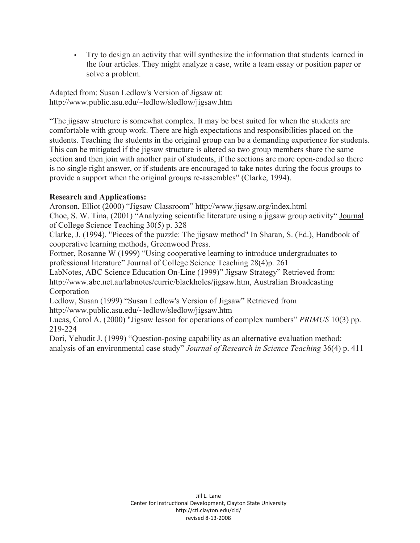• Try to design an activity that will synthesize the information that students learned in the four articles. They might analyze a case, write a team essay or position paper or solve a problem.

Adapted from: Susan Ledlow's Version of Jigsaw at: http://www.public.asu.edu/~ledlow/sledlow/jigsaw.htm

"The jigsaw structure is somewhat complex. It may be best suited for when the students are comfortable with group work. There are high expectations and responsibilities placed on the students. Teaching the students in the original group can be a demanding experience for students. This can be mitigated if the jigsaw structure is altered so two group members share the same section and then join with another pair of students, if the sections are more open-ended so there is no single right answer, or if students are encouraged to take notes during the focus groups to provide a support when the original groups re-assembles" (Clarke, 1994).

## **Research and Applications:**

Aronson, Elliot (2000) "Jigsaw Classroom" http://www.jigsaw.org/index.html

Choe, S. W. Tina, (2001) "Analyzing scientific literature using a jigsaw group activity" Journal of College Science Teaching 30(5) p. 328

Clarke, J. (1994). "Pieces of the puzzle: The jigsaw method" In Sharan, S. (Ed.), Handbook of cooperative learning methods, Greenwood Press.

Fortner, Rosanne W (1999) "Using cooperative learning to introduce undergraduates to professional literature" Journal of College Science Teaching 28(4)p. 261

LabNotes, ABC Science Education On-Line (1999)" Jigsaw Strategy" Retrieved from: http://www.abc.net.au/labnotes/curric/blackholes/jigsaw.htm, Australian Broadcasting **Corporation** 

Ledlow, Susan (1999) "Susan Ledlow's Version of Jigsaw" Retrieved from http://www.public.asu.edu/~ledlow/sledlow/jigsaw.htm

Lucas, Carol A. (2000) "Jigsaw lesson for operations of complex numbers" *PRIMUS* 10(3) pp. 219-224

Dori, Yehudit J. (1999) "Question-posing capability as an alternative evaluation method: analysis of an environmental case study" *Journal of Research in Science Teaching* 36(4) p. 411